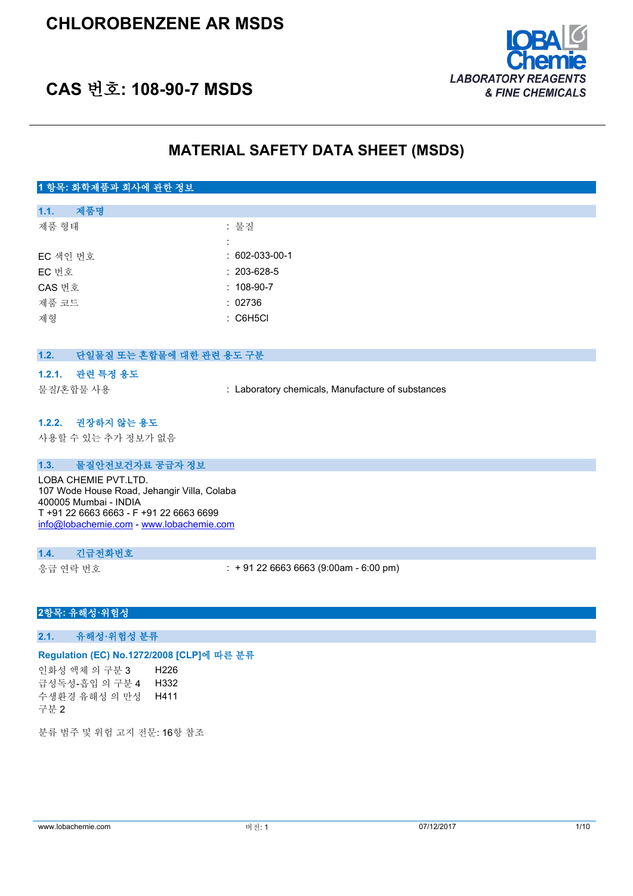

# **CAS 번호: 108-90-7 MSDS**

### **MATERIAL SAFETY DATA SHEET (MSDS)**

### **1 항목: 화학제품과 회사에 관한 정보**

| 1.1.     | 제품명 |                        |
|----------|-----|------------------------|
| 제품 형태    |     | : 물질                   |
|          |     |                        |
| EC 색인 번호 |     | $: 602 - 033 - 00 - 1$ |
| EC 번호    |     | $: 203 - 628 - 5$      |
| CAS 번호   |     | $: 108-90-7$           |
| 제품 코드    |     | : 02736                |
| 제형       |     | : C6H5Cl               |
|          |     |                        |

### **1.2. 단일물질 또는 혼합물에 대한 관련 용도 구분**

#### **1.2.1. 관련 특정 용도**

물질/혼합물 사용 : Laboratory chemicals, Manufacture of substances

#### **1.2.2. 권장하지 않는 용도**

사용할 수 있는 추가 정보가 없음

#### **1.3. 물질안전보건자료 공급자 정보**

LOBA CHEMIE PVT.LTD. 107 Wode House Road, Jehangir Villa, Colaba 400005 Mumbai - INDIA T +91 22 6663 6663 - F +91 22 6663 6699 [info@lobachemie.com](mailto:info@lobachemie.com) - <www.lobachemie.com>

#### **1.4. 긴급전화번호**

응급 연락 번호 : + 91 22 6663 6663 (9:00am - 6:00 pm)

#### **2항목: 유해성·위험성**

**2.1. 유해성·위험성 분류**

#### **Regulation (EC) No.1272/2008 [CLP]에 따른 분류**

인화성 액체 의 구분 3 H226 급성독성-흡입 의 구분 4 H332 수생환경 유해성 의 만성 구분 2 H411

분류 범주 및 위험 고지 전문: 16항 참조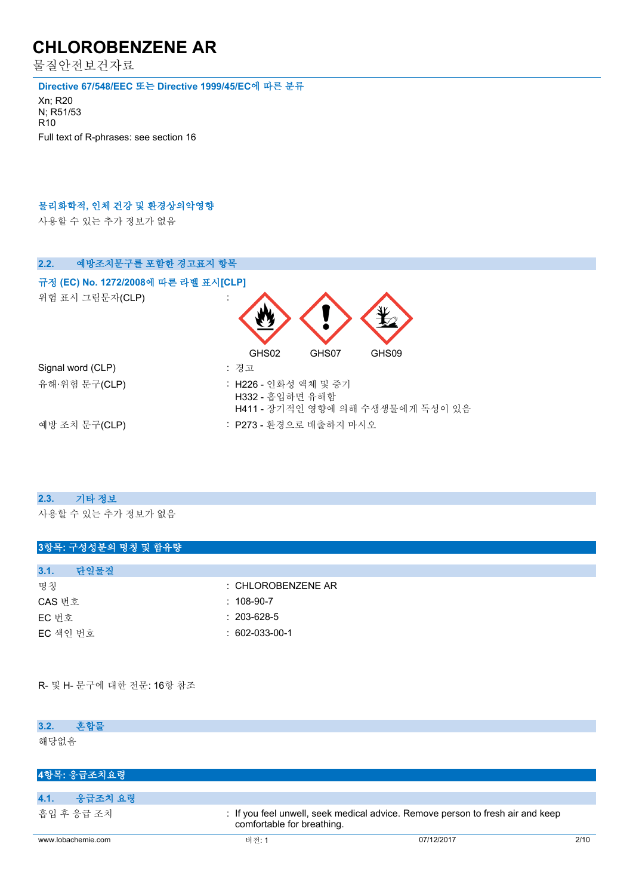물질안전보건자료

**Directive 67/548/EEC 또는 Directive 1999/45/EC에 따른 분류**

Xn; R20 N; R51/53 R10 Full text of R-phrases: see section 16

#### **물리화학적, 인체 건강 및 환경상의악영향**

사용할 수 있는 추가 정보가 없음



### **2.3. 기타 정보**

사용할 수 있는 추가 정보가 없음

| 3항목: 구성성분의 명칭 및 함유량 |                    |
|---------------------|--------------------|
|                     |                    |
| 3.1.<br>단일물질        |                    |
| 명칭                  | : CHLOROBENZENE AR |
| CAS 번호              | $: 108-90-7$       |
| EC 번호               | $: 203 - 628 - 5$  |
| EC 색인 번호            | $: 602-033-00-1$   |
|                     |                    |

R- 및 H- 문구에 대한 전문: 16항 참조

| 3.2.<br>혼합물     |                                                                                                              |
|-----------------|--------------------------------------------------------------------------------------------------------------|
| 해당없음            |                                                                                                              |
| 4항목: 응급조치요령     |                                                                                                              |
|                 |                                                                                                              |
| 4.1.<br>응급조치 요령 |                                                                                                              |
| 흡입 후 응급 조치      | : If you feel unwell, seek medical advice. Remove person to fresh air and keep<br>comfortable for breathing. |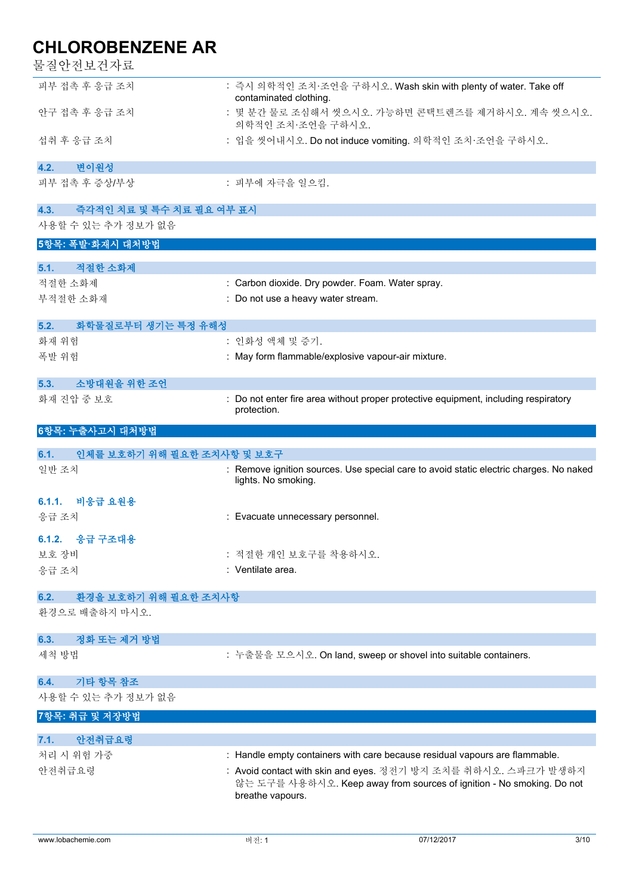물질안전보건자료

| 굴실안신모신사됴                           |                                                                                                                                                                                                                                            |
|------------------------------------|--------------------------------------------------------------------------------------------------------------------------------------------------------------------------------------------------------------------------------------------|
| 피부 접촉 후 응급 조치                      | : 즉시 의학적인 조치·조언을 구하시오. Wash skin with plenty of water. Take off<br>contaminated clothing.                                                                                                                                                  |
| 안구 접촉 후 응급 조치                      | : 몇 분간 물로 조심해서 씻으시오. 가능하면 콘택트렌즈를 제거하시오. 계속 씻으시오.<br>의학적인 조치·조언을 구하시오.                                                                                                                                                                      |
| 섭취 후 응급 조치                         | : 입을 씻어내시오. Do not induce vomiting. 의학적인 조치·조언을 구하시오.                                                                                                                                                                                      |
| 변이원성<br>4.2.                       |                                                                                                                                                                                                                                            |
| 피부 접촉 후 증상/부상                      | : 피부에 자극을 일으킴.                                                                                                                                                                                                                             |
| 4.3.<br>즉각적인 치료 및 특수 치료 필요 여부 표시   |                                                                                                                                                                                                                                            |
| 사용할 수 있는 추가 정보가 없음                 |                                                                                                                                                                                                                                            |
| 5항목: 폭발·화재시 대처방법                   |                                                                                                                                                                                                                                            |
| 5.1.<br>적절한 소화제                    |                                                                                                                                                                                                                                            |
| 적절한 소화제                            | : Carbon dioxide. Dry powder. Foam. Water spray.                                                                                                                                                                                           |
| 부적절한 소화재                           | : Do not use a heavy water stream.                                                                                                                                                                                                         |
| 5.2.<br>화학물질로부터 생기는 특정 유해성         |                                                                                                                                                                                                                                            |
| 화재 위험                              | : 인화성 액체 및 증기.                                                                                                                                                                                                                             |
| 폭발 위험                              | : May form flammable/explosive vapour-air mixture.                                                                                                                                                                                         |
| 소방대원을 위한 조언<br>5.3.                |                                                                                                                                                                                                                                            |
| 화재 진압 중 보호                         | Do not enter fire area without proper protective equipment, including respiratory<br>protection.                                                                                                                                           |
| 6항목: 누출사고시 대처방법                    |                                                                                                                                                                                                                                            |
| 인체를 보호하기 위해 필요한 조치사항 및 보호구<br>6.1. |                                                                                                                                                                                                                                            |
| 일반 조치                              | : Remove ignition sources. Use special care to avoid static electric charges. No naked<br>lights. No smoking.                                                                                                                              |
| 6.1.1. 비응급 요원용                     |                                                                                                                                                                                                                                            |
| 응급 조치                              | : Evacuate unnecessary personnel.                                                                                                                                                                                                          |
| 6.1.2. 응급 구조대용                     |                                                                                                                                                                                                                                            |
| 보호 장비                              | : 적절한 개인 보호구를 착용하시오.                                                                                                                                                                                                                       |
| 응급 조치                              | : Ventilate area.                                                                                                                                                                                                                          |
| 환경을 보호하기 위해 필요한 조치사항<br>6.2.       |                                                                                                                                                                                                                                            |
| 환경으로 배출하지 마시오.                     |                                                                                                                                                                                                                                            |
|                                    |                                                                                                                                                                                                                                            |
| 정화 또는 제거 방법<br>6.3.                |                                                                                                                                                                                                                                            |
| 세척 방법                              | : 누출물을 모으시오. On land, sweep or shovel into suitable containers.                                                                                                                                                                            |
| 기타 항목 참조<br>6.4.                   |                                                                                                                                                                                                                                            |
| 사용할 수 있는 추가 정보가 없음                 |                                                                                                                                                                                                                                            |
| 7항목: 취급 및 저장방법                     |                                                                                                                                                                                                                                            |
|                                    |                                                                                                                                                                                                                                            |
| 안전취급요령<br>7.1.                     |                                                                                                                                                                                                                                            |
| 처리 시 위험 가중<br>안전취급요령               | : Handle empty containers with care because residual vapours are flammable.<br>: Avoid contact with skin and eyes. 정전기 방지 조치를 취하시오. 스파크가 발생하지<br>않는 도구를 사용하시오. Keep away from sources of ignition - No smoking. Do not<br>breathe vapours. |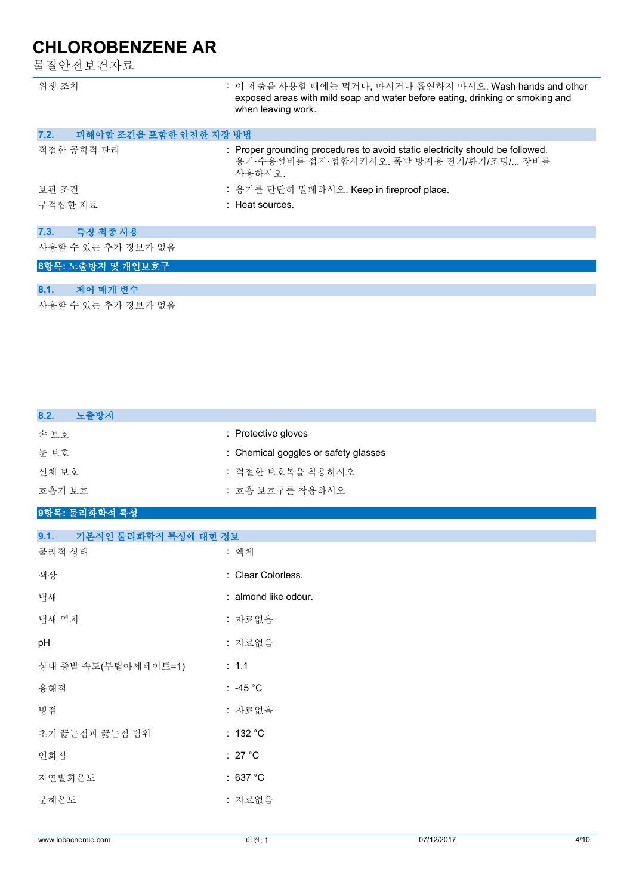물질안전보건자료

| 위생 조치                          | : 이 제품을 사용할 때에는 먹거나, 마시거나 흡연하지 마시오. Wash hands and other<br>exposed areas with mild soap and water before eating, drinking or smoking and<br>when leaving work. |
|--------------------------------|-----------------------------------------------------------------------------------------------------------------------------------------------------------------|
| 피해야할 조건을 포함한 안전한 저장 방법<br>7.2. |                                                                                                                                                                 |
| 적절한 공학적 관리                     | : Proper grounding procedures to avoid static electricity should be followed.<br>용기·수용설비를 접지·접합시키시오. 폭발 방지용 전기/환기/조명/ 장비를<br>사용하시오.                             |
| 보관 조건                          | : 용기를 단단히 밀폐하시오. Keep in fireproof place.                                                                                                                       |
| 부적합한 재료                        | : Heat sources.                                                                                                                                                 |
| 특정 최종 사용<br>7.3.               |                                                                                                                                                                 |
| 사용할 수 있는 추가 정보가 없음             |                                                                                                                                                                 |
| 8항목: 노출방지 및 개인보호구              |                                                                                                                                                                 |
|                                |                                                                                                                                                                 |
| 제어 매개 변수<br>8.1.               |                                                                                                                                                                 |
| 사용할 수 있는 추가 정보가 없음             |                                                                                                                                                                 |

| 8.2.<br>노출방지 |                                      |
|--------------|--------------------------------------|
| 손보호          | : Protective gloves                  |
| 눈보호          | : Chemical goggles or safety glasses |
| 신체 보호        | : 적절한 보호복을 착용하시오                     |
| 호흡기 보호       | : 호흡 보호구를 착용하시오                      |
|              |                                      |

### **9항목: 물리화학적 특성**

| 9.1.<br>기본적인 물리화학적 특성에 대한 정보 |                      |
|------------------------------|----------------------|
| 물리적 상태                       | : 액체                 |
| 색상                           | : Clear Colorless.   |
| 냄새                           | : almond like odour. |
| 냄새 역치                        | : 자료없음               |
| pH                           | : 자료없음               |
| 상대 증발 속도(부틸아세테이트=1)          | $\therefore$ 1.1     |
| 융해점                          | : -45 $^{\circ}$ C   |
| 빙점                           | : 자료없음               |
| 초기 끓는점과 끓는점 범위               | : 132 °C             |
| 인화점                          | : 27 $^{\circ}$ C    |
| 자연발화온도                       | : 637 °C             |
| 분해온도                         | : 자료없음               |
|                              |                      |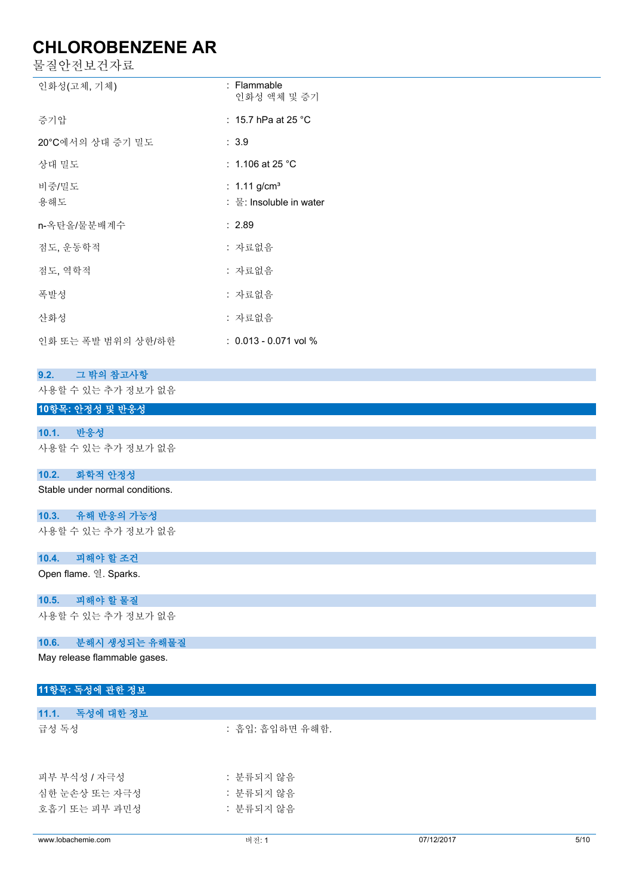| 물질안전보건자료                        |                            |  |
|---------------------------------|----------------------------|--|
| 인화성(고체, 기체)                     | : Flammable<br>인화성 액체 및 증기 |  |
| 증기압                             | : 15.7 hPa at 25 °C        |  |
| 20°C에서의 상대 증기 밀도                | : 3.9                      |  |
| 상대 밀도                           | : 1.106 at 25 $^{\circ}$ C |  |
| 비중/밀도                           | : $1.11$ g/cm <sup>3</sup> |  |
| 용해도                             | : 물: Insoluble in water    |  |
| n-옥탄올/물분배계수                     | : 2.89                     |  |
| 점도, 운동학적                        | : 자료없음                     |  |
| 점도, 역학적                         | : 자료없음                     |  |
| 폭발성                             | : 자료없음                     |  |
| 산화성                             | : 자료없음                     |  |
| 인화 또는 폭발 범위의 상한/하한              | $: 0.013 - 0.071$ vol %    |  |
| 그 밖의 참고사항<br>9.2.               |                            |  |
| 사용할 수 있는 추가 정보가 없음              |                            |  |
| 10항목: 안정성 및 반응성                 |                            |  |
| 10.1.<br>반응성                    |                            |  |
| 사용할 수 있는 추가 정보가 없음              |                            |  |
| 화학적 안정성<br>10.2.                |                            |  |
| Stable under normal conditions. |                            |  |
| 유해 반응의 가능성<br>10.3.             |                            |  |
| 사용할 수 있는 추가 정보가 없음              |                            |  |
| 피해야 할 조건<br>10.4.               |                            |  |
| Open flame. 열. Sparks.          |                            |  |
| 피해야 할 물질<br>10.5.               |                            |  |
| 사용할 수 있는 추가 정보가 없음              |                            |  |
| 분해시 생성되는 유해물질<br>10.6.          |                            |  |
| May release flammable gases.    |                            |  |
| 11항목: 독성에 관한 정보                 |                            |  |
| 독성에 대한 정보<br>11.1.              |                            |  |
| 급성 독성                           | : 흡입: 흡입하면 유해함.            |  |
| 피부 부식성 / 자극성                    | : 분류되지 않음                  |  |

심한 눈손상 또는 자극성 : 한 도 : 분류되지 않음 호흡기 또는 피부 과민성 · · · · · · · · · · · · · · 분류되지 않음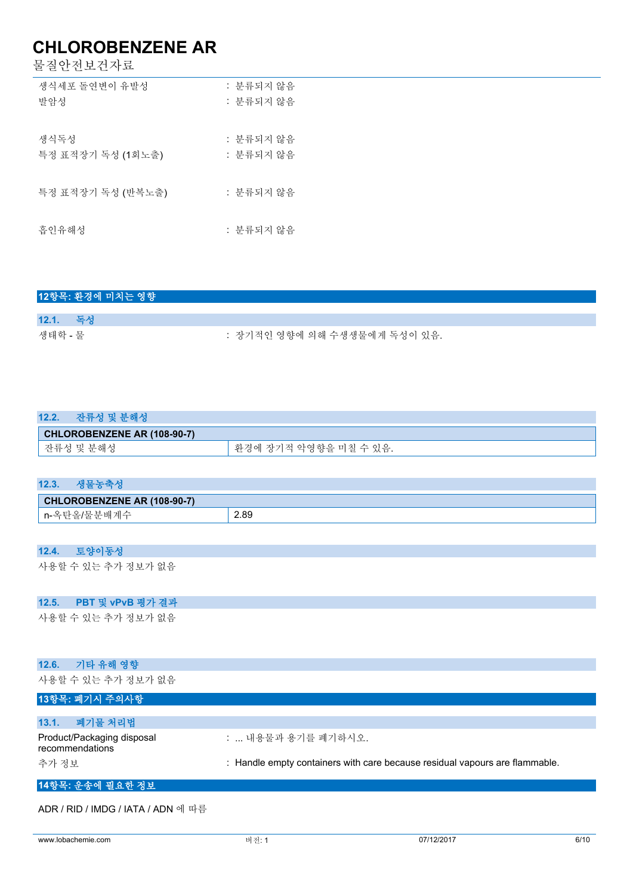물질안전보건자료

| 생식세포 돌연변이 유발성     | : 분류되지 않음 |
|-------------------|-----------|
| 발암성               | : 분류되지 않음 |
|                   |           |
| 생식독성              | : 분류되지 않음 |
| 특정 표적장기 독성 (1회노출) | : 분류되지 않음 |
|                   |           |
| 특정 표적장기 독성 (반복노출) | : 분류되지 않음 |
|                   |           |
| 흡인유해성             | : 분류되지 않음 |
|                   |           |

|          | 12항목: 환경에 미치는 영향 |                              |
|----------|------------------|------------------------------|
|          |                  |                              |
| 12.1. 독성 |                  |                              |
| 생태학 - 물  |                  | : 장기적인 영향에 의해 수생생물에게 독성이 있음. |

| 12.2. |                             |  |
|-------|-----------------------------|--|
|       | CHLOROBENZENE AR (108-90-7) |  |

| <b>UNLURUDENZENE AR (100-90-7)</b>           |                                                                            |
|----------------------------------------------|----------------------------------------------------------------------------|
| $\rightarrow$<br>해<br>ᄾ느<br>__<br>$-$<br>. . | оll<br>.<br>σι.<br>≃<br>$-$<br>. .<br>ᆮ<br>$\sim$<br>ᆻ ㄴ ㆍ<br>▭<br>л.<br>– |
|                                              |                                                                            |

| 생물농축성<br>12.3.              |      |
|-----------------------------|------|
| CHLOROBENZENE AR (108-90-7) |      |
| └ n-옥탄올/물분배계수               | 2.89 |
|                             |      |

| 12.4. | 도양이동성              |  |
|-------|--------------------|--|
|       | 사용할 수 있는 추가 정보가 없음 |  |

### **12.5. PBT 및 vPvB 평가 결과**

사용할 수 있는 추가 정보가 없음

| 기타 유해 영향<br>12.6.                             |                                                                             |
|-----------------------------------------------|-----------------------------------------------------------------------------|
| 사용할 수 있는 추가 정보가 없음                            |                                                                             |
| 13항목: 폐기시 주의사항                                |                                                                             |
|                                               |                                                                             |
| 폐기물 처리법<br>13.1.                              |                                                                             |
| Product/Packaging disposal<br>recommendations | :  내용물과 용기를 폐기하시오.                                                          |
| 추가 정보                                         | : Handle empty containers with care because residual vapours are flammable. |
| 14항목: 운송에 필요한 정보                              |                                                                             |

ADR / RID / IMDG / IATA / ADN 에 따름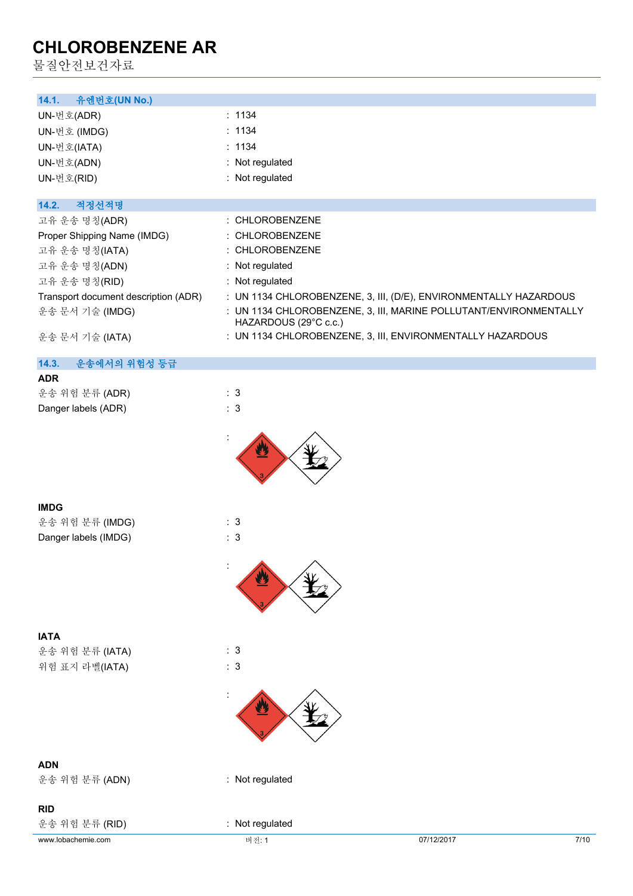물질안전보건자료

| 14.1.<br>유엔번호(UN No.)                |                                                                                            |
|--------------------------------------|--------------------------------------------------------------------------------------------|
| UN-번호(ADR)                           | : 1134                                                                                     |
| UN-번호 (IMDG)                         | : 1134                                                                                     |
| UN-번호(IATA)                          | : 1134                                                                                     |
| UN-번호(ADN)                           | : Not regulated                                                                            |
|                                      | : Not regulated                                                                            |
| UN-번호(RID)                           |                                                                                            |
| 14.2.<br>적정선적명                       |                                                                                            |
| 고유 운송 명칭(ADR)                        | : CHLOROBENZENE                                                                            |
| Proper Shipping Name (IMDG)          | : CHLOROBENZENE                                                                            |
| 고유 운송 명칭(IATA)                       | : CHLOROBENZENE                                                                            |
| 고유 운송 명칭(ADN)                        | : Not regulated                                                                            |
| 고유 운송 명칭(RID)                        | : Not regulated                                                                            |
|                                      |                                                                                            |
| Transport document description (ADR) | : UN 1134 CHLOROBENZENE, 3, III, (D/E), ENVIRONMENTALLY HAZARDOUS                          |
| 운송 문서 기술 (IMDG)                      | : UN 1134 CHLOROBENZENE, 3, III, MARINE POLLUTANT/ENVIRONMENTALLY<br>HAZARDOUS (29°C c.c.) |
| 운송 문서 기술 (IATA)                      | : UN 1134 CHLOROBENZENE, 3, III, ENVIRONMENTALLY HAZARDOUS                                 |
|                                      |                                                                                            |
| 운송에서의 위험성 등급<br>14.3.                |                                                                                            |
| <b>ADR</b>                           |                                                                                            |
| 운송 위험 분류 (ADR)                       | : 3                                                                                        |
| Danger labels (ADR)                  | : 3                                                                                        |
|                                      |                                                                                            |
|                                      |                                                                                            |
|                                      |                                                                                            |
| <b>IMDG</b>                          |                                                                                            |
| 운송 위험 분류 (IMDG)                      | : 3                                                                                        |
| Danger labels (IMDG)                 | : 3                                                                                        |
|                                      |                                                                                            |
|                                      |                                                                                            |
|                                      |                                                                                            |
| <b>IATA</b>                          |                                                                                            |
| 운송 위험 분류 (IATA)                      | : 3                                                                                        |
| 위험 표지 라벨(IATA)                       | : 3                                                                                        |
|                                      |                                                                                            |
|                                      |                                                                                            |
| <b>ADN</b>                           |                                                                                            |
| 운송 위험 분류 (ADN)                       | : Not regulated                                                                            |

### **RID**

운송 위험 분류 (RID) : Not regulated

www.lobachemie.com 머전: 1 미전: 1 07/12/2017 07/12/2017 7/10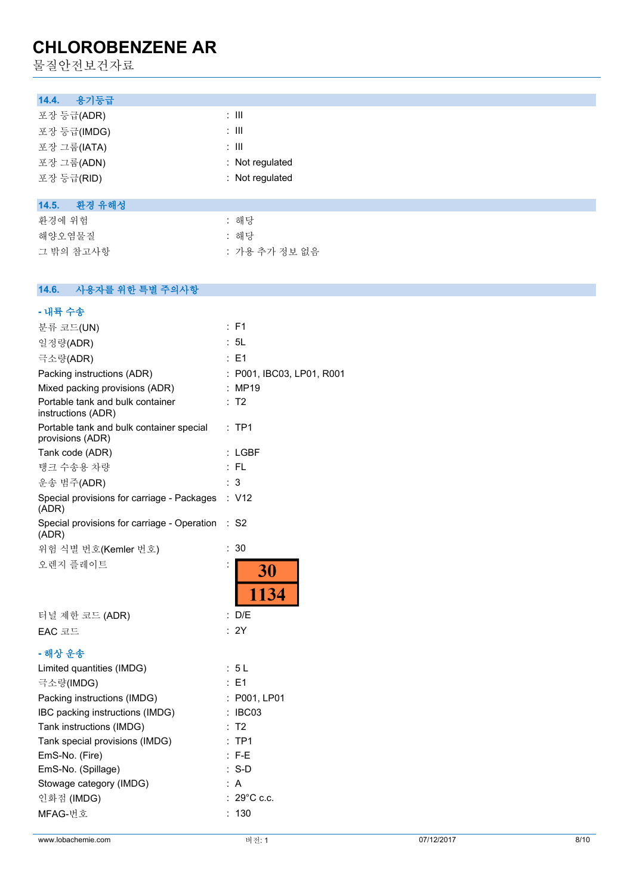물질안전보건자료

| 용기등급<br>14.4.   |                 |
|-----------------|-----------------|
| 포장 등급(ADR)      | ÷ III           |
| 포장 등급(IMDG)     | ÷ III           |
| 포장 그룹(IATA)     | ÷ III           |
| 포장 그룹(ADN)      | : Not regulated |
| 포장 등급(RID)      | : Not regulated |
|                 |                 |
| 환경 유해성<br>14.5. |                 |
| 환경에 위험          | : 해당            |
| 해양오염물질          | : 해당            |
| 그 밖의 참고사항       | : 가용 추가 정보 없음   |
|                 |                 |

### **14.6. 사용자를 위한 특별 주의사항**

| www.lobachemie.com                                           | 버전: 1                     | 07/12/2017 | 8/10 |
|--------------------------------------------------------------|---------------------------|------------|------|
| MFAG-번호                                                      | : 130                     |            |      |
| 인화점 (IMDG)                                                   | : 29°C c.c.               |            |      |
| Stowage category (IMDG)                                      | : A                       |            |      |
| EmS-No. (Spillage)                                           | $: S-D$                   |            |      |
| EmS-No. (Fire)                                               | $: F-E$                   |            |      |
| Tank special provisions (IMDG)                               | $:$ TP1                   |            |      |
| Tank instructions (IMDG)                                     | : T2                      |            |      |
| IBC packing instructions (IMDG)                              | : IBC03                   |            |      |
| Packing instructions (IMDG)                                  | : P001, LP01              |            |      |
| 극소량(IMDG)                                                    | $\therefore$ E1           |            |      |
| Limited quantities (IMDG)                                    | : 5L                      |            |      |
| - 해상 운송                                                      |                           |            |      |
|                                                              |                           |            |      |
| EAC 코드                                                       | : 2Y                      |            |      |
| 터널 제한 코드 (ADR)                                               | : D/E                     |            |      |
| 오렌지 플레이트                                                     | İ,<br>30<br>1134          |            |      |
| 위험 식별 번호(Kemler 번호)                                          | :30                       |            |      |
| (ADR)                                                        |                           |            |      |
| (ADR)<br>Special provisions for carriage - Operation : S2    |                           |            |      |
| Special provisions for carriage - Packages : V12             |                           |            |      |
| 운송 범주(ADR)                                                   | : 3                       |            |      |
| 탱크 수송용 차량                                                    | $:$ FL                    |            |      |
| Tank code (ADR)                                              | : LGBF                    |            |      |
| Portable tank and bulk container special<br>provisions (ADR) | :TP1                      |            |      |
| Portable tank and bulk container<br>instructions (ADR)       | : T2                      |            |      |
| Mixed packing provisions (ADR)                               | : MP19                    |            |      |
| Packing instructions (ADR)                                   | : P001, IBC03, LP01, R001 |            |      |
| 극소량(ADR)                                                     | : E1                      |            |      |
| 일정량(ADR)                                                     | : 5L                      |            |      |
| 분류 코드(UN)                                                    | : F1                      |            |      |
| - 내륙 수송                                                      |                           |            |      |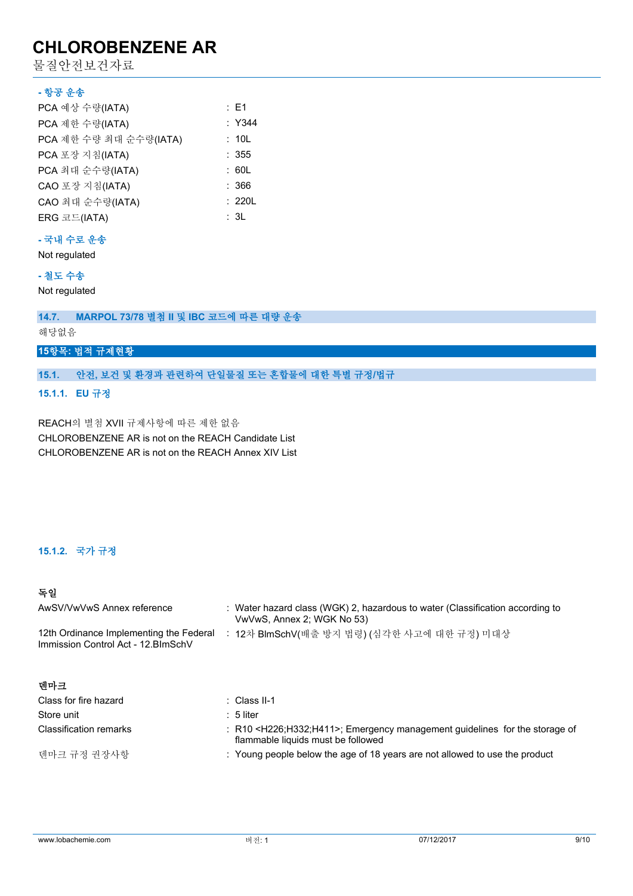물질안전보건자료

#### **- 항공 운송**

| PCA 예상 수량(IATA)        | : E1   |
|------------------------|--------|
| PCA 제한 수량(IATA)        | : Y344 |
| PCA 제한 수량 최대 순수량(IATA) | : 10L  |
| PCA 포장 지침(IATA)        | : 355  |
| PCA 최대 순수량(IATA)       | : 60L  |
| CAO 포장 지침(IATA)        | : 366  |
| CAO 최대 순수량(IATA)       | : 220L |
| ERG 코드(IATA)           | : 3L   |

### **- 국내 수로 운송**

Not regulated

### **- 철도 수송**

Not regulated

**14.7. MARPOL 73/78 별첨 II 및 IBC 코드에 따른 대량 운송**

해당없음

#### **15항목: 법적 규제현황**

**15.1. 안전, 보건 및 환경과 관련하여 단일물질 또는 혼합물에 대한 특별 규정/법규**

**15.1.1. EU 규정**

REACH의 별첨 XVII 규제사항에 따른 제한 없음 CHLOROBENZENE AR is not on the REACH Candidate List CHLOROBENZENE AR is not on the REACH Annex XIV List

### **15.1.2. 국가 규정**

### **독일**

| AwSV/VwVwS Annex reference                                                                                                    | : Water hazard class (WGK) 2, hazardous to water (Classification according to<br>VwVwS, Annex 2; WGK No 53)                        |
|-------------------------------------------------------------------------------------------------------------------------------|------------------------------------------------------------------------------------------------------------------------------------|
| : 12차 BlmSchV(배출 방지 법령) (심각한 사고에 대한 규정) 미대상<br>12th Ordinance Implementing the Federal<br>Immission Control Act - 12. BlmSchV |                                                                                                                                    |
| 데마크                                                                                                                           |                                                                                                                                    |
| Class for fire hazard                                                                                                         | : Class II-1                                                                                                                       |
| Store unit                                                                                                                    | $: 5$ liter                                                                                                                        |
| <b>Classification remarks</b>                                                                                                 | : R10 <h226;h332;h411>; Emergency management guidelines for the storage of<br/>flammable liquids must be followed</h226;h332;h411> |

덴마크 규정 권장사항 : Young people below the age of 18 years are not allowed to use the product

www.lobachemie.com 머전: 1 + 제 제 제 제 제 제 제 제 제 제 제 이 07/12/2017 9/10